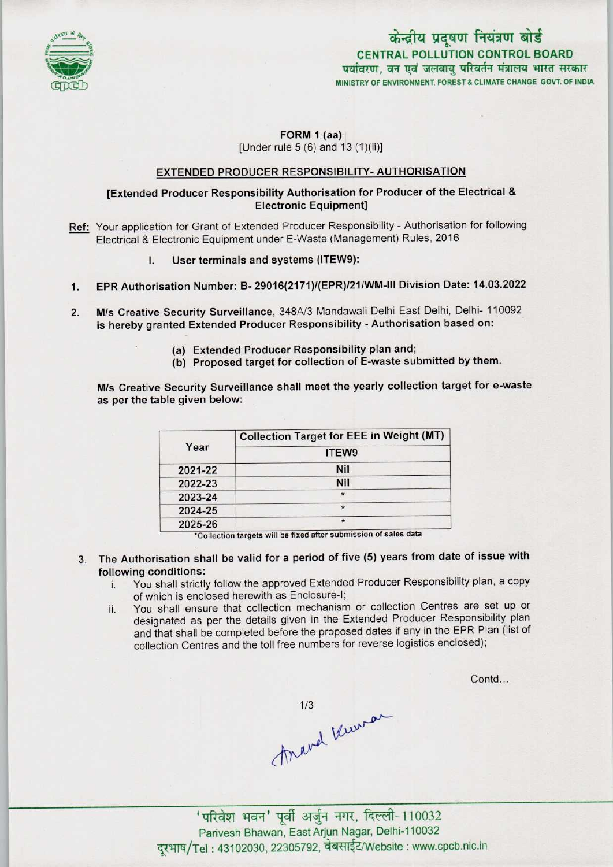

# CENTRAL POLLUTION CONTROL BOARD पर्यावरण, वन एवं जलवाय परिवर्तन मंत्रालय भारत सरकार MINISTRYOF ENVIRONMENT, FOREST& CLIMATE CHANGE GOVT. OF INDIA केन्द्रीय प्रदूषण नियंत्रण बोर्ड

#### FORM 1 (aa) [Under rule  $5(6)$  and  $13(1)(ii)$ ]

## EXTENDED PRODUCER RESPONSIBILITY- AUTHORISATION

### [Extended Producer Responsibility Authorisation for Producer of the Electrical & Electronic Equipment]

- Ref: Your application for Grant of Extended Producer Responsibility Authorisation for following Electrical & Electronic Equipment under E-Waste (Management) Rules, 2016
	- I. User terminals and systems (ITEW9):
- 1.EPR Authorisation Number: B- 29016(2171 )/(EPR)/21/WM-lll Division Date: 14.03.2022
- 2.M/s Creative Security Surveillance, 348A/3 Mandawali Delhi East Delhi, Delhi- <sup>110092</sup> is hereby granted Extended Producer Responsibility - Authorisation based on:
	- (a) Extended Producer Responsibility plan and;
	- (b) Proposed target for collection of E-waste submitted by them.

M/s Creative Security Surveillance shall meet the yearly collection target for e-waste as per the table given below:

| Year    | <b>Collection Target for EEE in Weight (MT)</b> |
|---------|-------------------------------------------------|
|         | ITEW9                                           |
| 2021-22 | <b>Nil</b>                                      |
| 2022-23 | <b>Nil</b>                                      |
| 2023-24 | $\star$                                         |
| 2024-25 | $\star$                                         |
| 2025-26 | $\star$                                         |

\*Collection targets will be fixed after submission of sales data

- 3. The Authorisation shall be valid for a period of five (5) years from date of issue with following conditions:
	- i. You shall strictly follow the approved Extended Producer Responsibility plan, <sup>a</sup> copy of which is enclosed herewith as Enclosure-I;
	- ii. You shall ensure that collection mechanism or collection Centres are set up or designated as per the details given in the Extended Producer Responsibility plan and that shall be completed before the proposed dates if any in the EPR Plan (list of collection Centres and the toll free numbers for reverse logistics enclosed);

Contd...

1/3<br>Anand Vermon

' परिवेश भवन' पूर्वी अर्जुन नगर, दिल्ली-110032 Parivesh Bhawan, East Arjun Nagar, Delhi-110032 दूरभाष/Tel: 43102030, 22305792, वेबसाईट/Website : www.cpcb.nic.in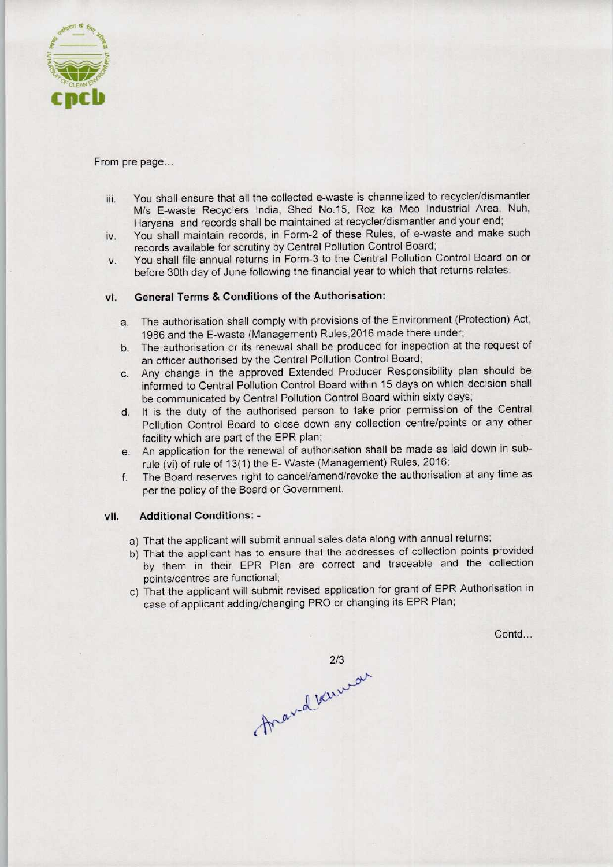

#### From pre page...

- iii. You shall ensure that all the collected e-waste is channelized to recycler/dismantler M/s E-waste Recyclers India, Shed No.15, Roz ka Meo Industrial Area, Nuh, Haryana and records shall be maintained at recycler/dismantler and your end;
- iv. You shall maintain records, in Form-2 of these Rules, of e-waste and make such records available for scrutiny by Central Pollution Control Board;
- v. You shall file annual returns in Form-3 to the Central Pollution Control Board on or before 30th day of June following the financial year to which that returns relates.

## vi. General Terms & Conditions of the Authorisation:

- a. The authorisation shall comply with provisions of the Environment (Protection) Act, 1986 and the E-waste (Management) Rules,2016 made there under;
- b.The authorisation or its renewal shall be produced for inspection at the request of an officer authorised by the Central Pollution Control Board;
- c.Any change in the approved Extended Producer Responsibility plan should be informed to Central Pollution Control Board within 15 days on which decision shall be communicated by Central Pollution Control Board within sixty days;
- d. It is the duty of the authorised person to take prior permission of the Central Pollution Control Board to close down any collection centre/points or any other facility which are part of the EPR plan;
- e.An application for the renewal of authorisation shall be made aslaid down in subrule (vi) of rule of 13(1) the E- Waste (Management) Rules, 2016;
- f.The Board reserves right to cancel/amend/revoke the authorisation at any time as per the policy of the Board or Government.

#### vii. Additional Conditions: -

- a) That the applicant will submit annual sales data along with annual returns;
- b)That the applicant has to ensure that the addresses of collection points provided by them in their EPR Plan are correct and traceable and the collection points/centres are functional;
- c) That the applicant will submit revised application for grant of EPR Authorisation in case of applicant adding/changing PRO or changing its EPR Plan;

Contd...

mand varmer